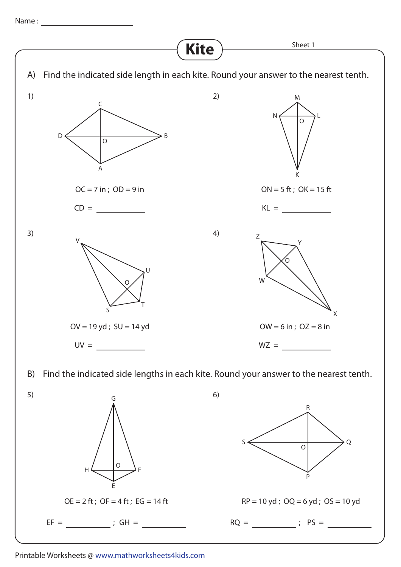Name :